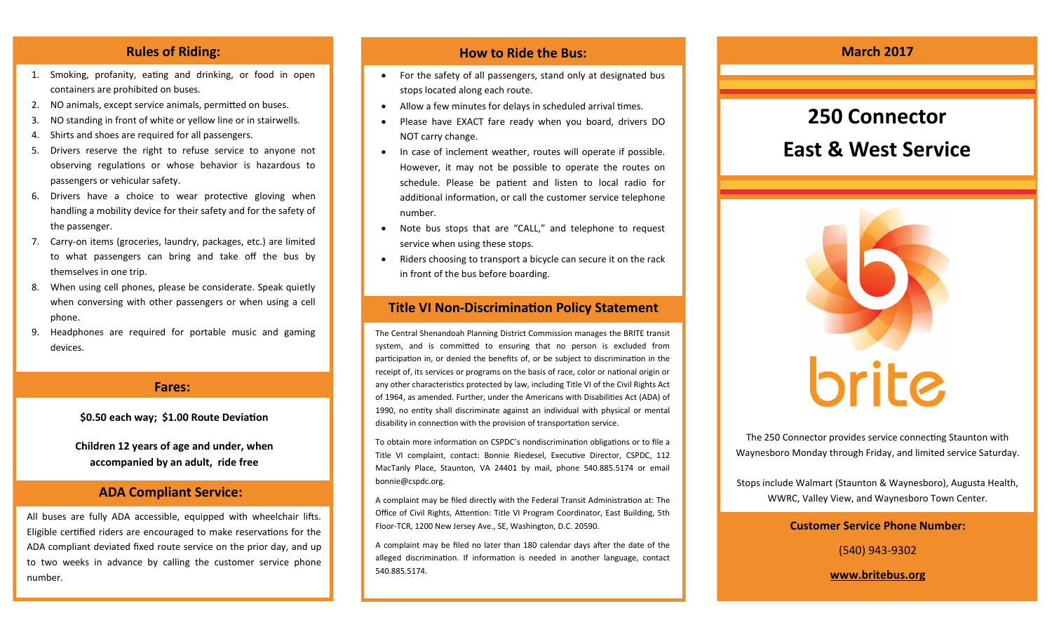- 1. Smoking, profanity, eating and drinking, or food in open containers are prohibited on buses.
- 2. NO animals, except service animals, permitted on buses.
- 3. NO standing in front of white or yellow line or in stairwells.
- 4. Shirts and shoes are required for all passengers.
- 5. Drivers reserve the right to refuse service to anyone not observing regulations or whose behavior is hazardous to passengers or vehicular safety.
- 6. Drivers have a choice to wear protective gloving when handling a mobility device for their safety and for the safety of the passenger.
- 7. Carry-on items (groceries, laundry, packages, etc.) are limited to what passengers can bring and take off the bus by themselves in one trip.
- 8. When using cell phones, please be considerate. Speak quietly when conversing with other passengers or when using a cell phone.
- 9. Headphones are required for portable music and gaming devices.

### **Fares:**

#### **\$0.50 each way; \$1.00 Route Deviation**

**Children 12 years of age and under, when accompanied by an adult, ride free**

### **ADA Compliant Service:**

All buses are fully ADA accessible, equipped with wheelchair lifts. Eligible certified riders are encouraged to make reservations for the ADA compliant deviated fixed route service on the prior day, and up to two weeks in advance by calling the customer service phone number.

## **Rules of Riding: How to Ride the Bus: How to Ride the Bus: March 2017**

- For the safety of all passengers, stand only at designated bus stops located along each route.
- Allow a few minutes for delays in scheduled arrival times.
- Please have EXACT fare ready when you board, drivers DO NOT carry change.
- In case of inclement weather, routes will operate if possible. However, it may not be possible to operate the routes on schedule. Please be patient and listen to local radio for additional information, or call the customer service telephone number.
- Note bus stops that are "CALL," and telephone to request service when using these stops.
- Riders choosing to transport a bicycle can secure it on the rack in front of the bus before boarding.

## **Title VI Non-Discrimination Policy Statement**

The Central Shenandoah Planning District Commission manages the BRITE transit system, and is committed to ensuring that no person is excluded from participation in, or denied the benefits of, or be subject to discrimination in the receipt of, its services or programs on the basis of race, color or national origin or any other characteristics protected by law, including Title VI of the Civil Rights Act of 1964, as amended. Further, under the Americans with Disabilities Act (ADA) of 1990, no entity shall discriminate against an individual with physical or mental disability in connection with the provision of transportation service.

To obtain more information on CSPDC's nondiscrimination obligations or to file a Title VI complaint, contact: Bonnie Riedesel, Executive Director, CSPDC, 112 MacTanly Place, Staunton, VA 24401 by mail, phone 540.885.5174 or email bonnie@cspdc.org.

A complaint may be filed directly with the Federal Transit Administration at: The Office of Civil Rights, Attention: Title VI Program Coordinator, East Building, 5th Floor-TCR, 1200 New Jersey Ave., SE, Washington, D.C. 20590.

A complaint may be filed no later than 180 calendar days after the date of the alleged discrimination. If information is needed in another language, contact 540.885.5174.

# **250 Connector**

# **East & West Service**



The 250 Connector provides service connecting Staunton with Waynesboro Monday through Friday, and limited service Saturday.

Stops include Walmart (Staunton & Waynesboro), Augusta Health, WWRC, Valley View, and Waynesboro Town Center.

#### **Customer Service Phone Number:**

(540) 943-9302

**www.britebus.org**